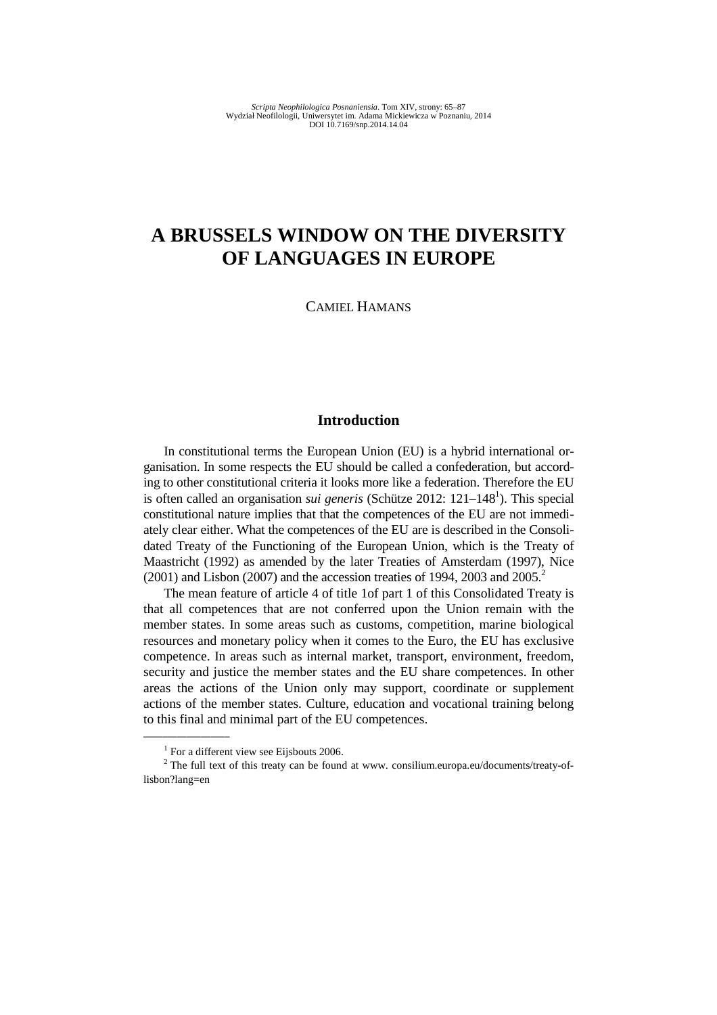# **A BRUSSELS WINDOW ON THE DIVERSITY OF LANGUAGES IN EUROPE**

CAMIEL HAMANS

# **Introduction**

In constitutional terms the European Union (EU) is a hybrid international organisation. In some respects the EU should be called a confederation, but according to other constitutional criteria it looks more like a federation. Therefore the EU is often called an organisation *sui generis* (Schütze 2012: 121–148<sup>1</sup>). This special constitutional nature implies that that the competences of the EU are not immediately clear either. What the competences of the EU are is described in the Consolidated Treaty of the Functioning of the European Union, which is the Treaty of Maastricht (1992) as amended by the later Treaties of Amsterdam (1997), Nice  $(2001)$  and Lisbon (2007) and the accession treaties of 1994, 2003 and 2005.<sup>2</sup>

The mean feature of article 4 of title 1of part 1 of this Consolidated Treaty is that all competences that are not conferred upon the Union remain with the member states. In some areas such as customs, competition, marine biological resources and monetary policy when it comes to the Euro, the EU has exclusive competence. In areas such as internal market, transport, environment, freedom, security and justice the member states and the EU share competences. In other areas the actions of the Union only may support, coordinate or supplement actions of the member states. Culture, education and vocational training belong to this final and minimal part of the EU competences.

<sup>&</sup>lt;sup>1</sup> For a different view see Eijsbouts 2006.

 $2$  The full text of this treaty can be found at www. consilium.europa.eu/documents/treaty-oflisbon?lang=en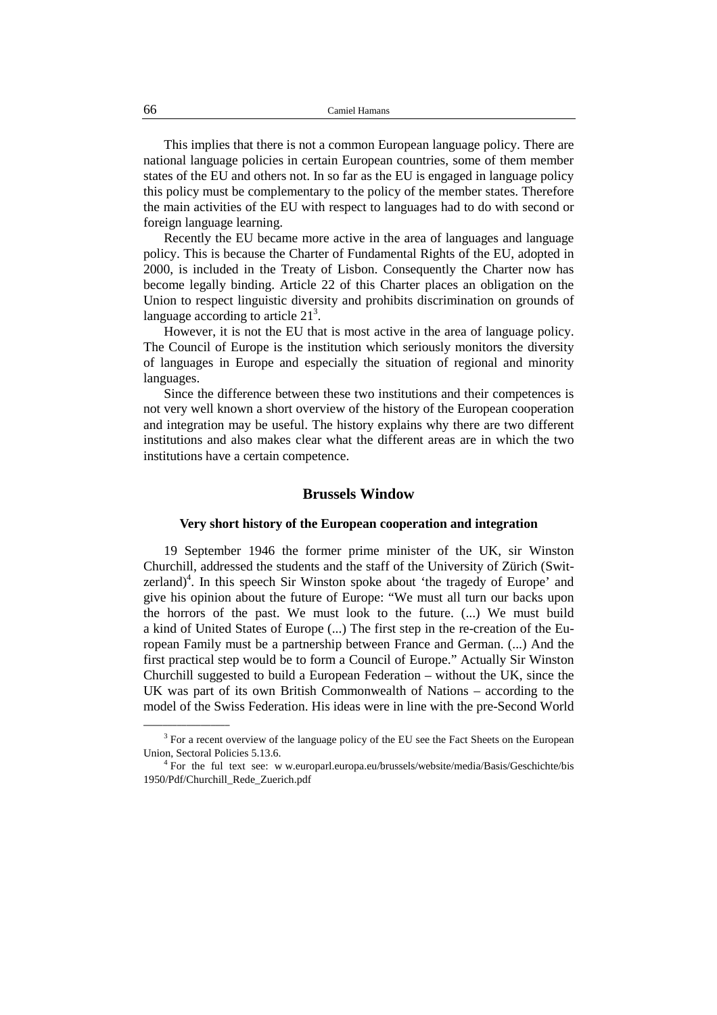This implies that there is not a common European language policy. There are national language policies in certain European countries, some of them member states of the EU and others not. In so far as the EU is engaged in language policy this policy must be complementary to the policy of the member states. Therefore the main activities of the EU with respect to languages had to do with second or foreign language learning.

Recently the EU became more active in the area of languages and language policy. This is because the Charter of Fundamental Rights of the EU, adopted in 2000, is included in the Treaty of Lisbon. Consequently the Charter now has become legally binding. Article 22 of this Charter places an obligation on the Union to respect linguistic diversity and prohibits discrimination on grounds of language according to article  $21<sup>3</sup>$ .

However, it is not the EU that is most active in the area of language policy. The Council of Europe is the institution which seriously monitors the diversity of languages in Europe and especially the situation of regional and minority languages.

Since the difference between these two institutions and their competences is not very well known a short overview of the history of the European cooperation and integration may be useful. The history explains why there are two different institutions and also makes clear what the different areas are in which the two institutions have a certain competence.

## **Brussels Window**

#### **Very short history of the European cooperation and integration**

19 September 1946 the former prime minister of the UK, sir Winston Churchill, addressed the students and the staff of the University of Zürich (Switzerland) $<sup>4</sup>$ . In this speech Sir Winston spoke about 'the tragedy of Europe' and</sup> give his opinion about the future of Europe: "We must all turn our backs upon the horrors of the past. We must look to the future. (...) We must build a kind of United States of Europe (...) The first step in the re-creation of the European Family must be a partnership between France and German. (...) And the first practical step would be to form a Council of Europe." Actually Sir Winston Churchill suggested to build a European Federation – without the UK, since the UK was part of its own British Commonwealth of Nations – according to the model of the Swiss Federation. His ideas were in line with the pre-Second World

 $3$  For a recent overview of the language policy of the EU see the Fact Sheets on the European Union, Sectoral Policies 5.13.6.

<sup>&</sup>lt;sup>4</sup> For the ful text see: w w.europarl.europa.eu/brussels/website/media/Basis/Geschichte/bis 1950/Pdf/Churchill\_Rede\_Zuerich.pdf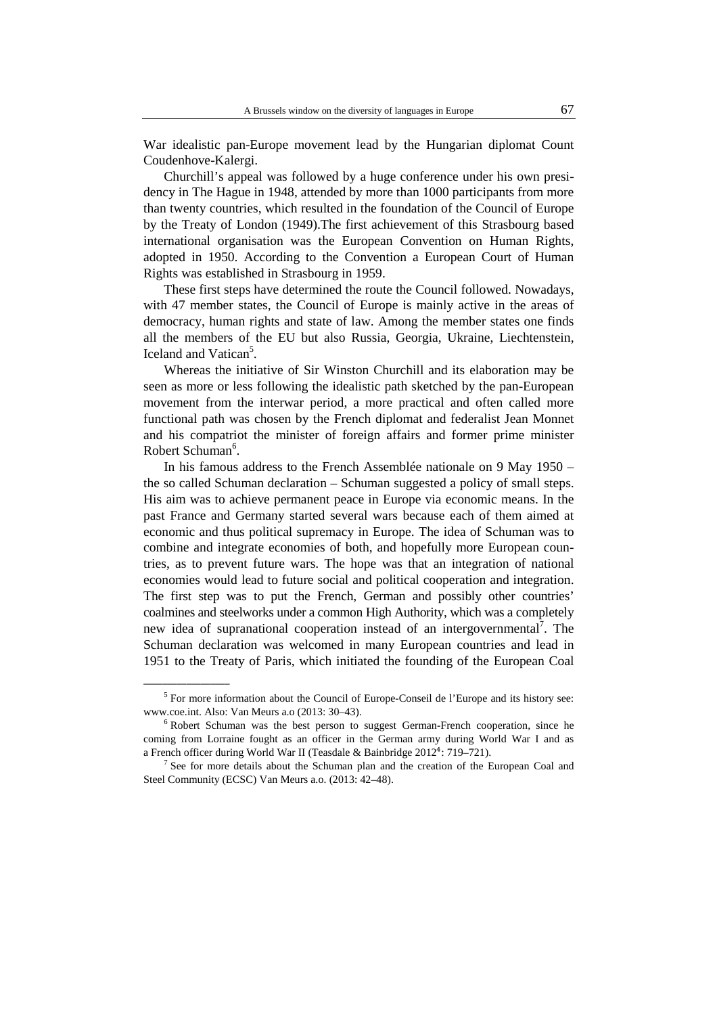War idealistic pan-Europe movement lead by the Hungarian diplomat Count Coudenhove-Kalergi.

Churchill's appeal was followed by a huge conference under his own presidency in The Hague in 1948, attended by more than 1000 participants from more than twenty countries, which resulted in the foundation of the Council of Europe by the Treaty of London (1949).The first achievement of this Strasbourg based international organisation was the European Convention on Human Rights, adopted in 1950. According to the Convention a European Court of Human Rights was established in Strasbourg in 1959.

These first steps have determined the route the Council followed. Nowadays, with 47 member states, the Council of Europe is mainly active in the areas of democracy, human rights and state of law. Among the member states one finds all the members of the EU but also Russia, Georgia, Ukraine, Liechtenstein, Iceland and Vatican<sup>5</sup>.

Whereas the initiative of Sir Winston Churchill and its elaboration may be seen as more or less following the idealistic path sketched by the pan-European movement from the interwar period, a more practical and often called more functional path was chosen by the French diplomat and federalist Jean Monnet and his compatriot the minister of foreign affairs and former prime minister Robert Schuman<sup>6</sup>.

In his famous address to the French Assemblée nationale on 9 May 1950 – the so called Schuman declaration – Schuman suggested a policy of small steps. His aim was to achieve permanent peace in Europe via economic means. In the past France and Germany started several wars because each of them aimed at economic and thus political supremacy in Europe. The idea of Schuman was to combine and integrate economies of both, and hopefully more European countries, as to prevent future wars. The hope was that an integration of national economies would lead to future social and political cooperation and integration. The first step was to put the French, German and possibly other countries' coalmines and steelworks under a common High Authority, which was a completely new idea of supranational cooperation instead of an intergovernmental<sup>7</sup>. The Schuman declaration was welcomed in many European countries and lead in 1951 to the Treaty of Paris, which initiated the founding of the European Coal

\_\_\_\_\_\_\_\_\_\_\_\_\_\_\_\_\_\_

<sup>&</sup>lt;sup>5</sup> For more information about the Council of Europe-Conseil de l'Europe and its history see: www.coe.int. Also: Van Meurs a.o (2013: 30–43).

<sup>&</sup>lt;sup>6</sup> Robert Schuman was the best person to suggest German-French cooperation, since he coming from Lorraine fought as an officer in the German army during World War I and as a French officer during World War II (Teasdale & Bainbridge 2012<sup>4</sup>: 719–721).

<sup>&</sup>lt;sup>7</sup> See for more details about the Schuman plan and the creation of the European Coal and Steel Community (ECSC) Van Meurs a.o. (2013: 42–48).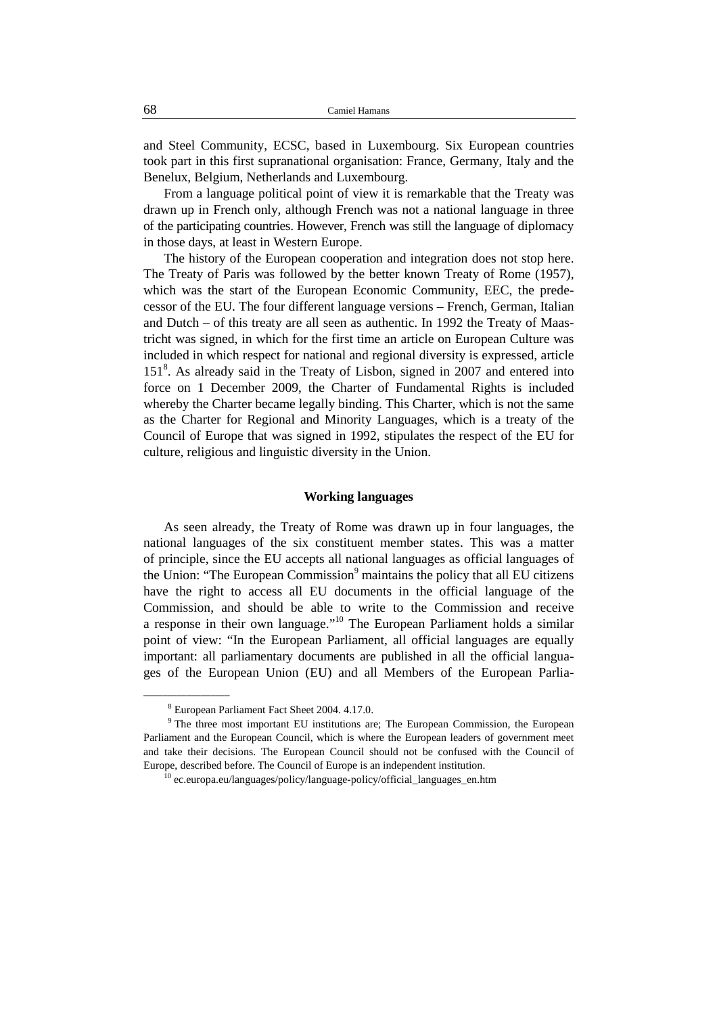and Steel Community, ECSC, based in Luxembourg. Six European countries took part in this first supranational organisation: France, Germany, Italy and the Benelux, Belgium, Netherlands and Luxembourg.

From a language political point of view it is remarkable that the Treaty was drawn up in French only, although French was not a national language in three of the participating countries. However, French was still the language of diplomacy in those days, at least in Western Europe.

The history of the European cooperation and integration does not stop here. The Treaty of Paris was followed by the better known Treaty of Rome (1957), which was the start of the European Economic Community, EEC, the predecessor of the EU. The four different language versions – French, German, Italian and Dutch – of this treaty are all seen as authentic. In 1992 the Treaty of Maastricht was signed, in which for the first time an article on European Culture was included in which respect for national and regional diversity is expressed, article 151<sup>8</sup>. As already said in the Treaty of Lisbon, signed in 2007 and entered into force on 1 December 2009, the Charter of Fundamental Rights is included whereby the Charter became legally binding. This Charter, which is not the same as the Charter for Regional and Minority Languages, which is a treaty of the Council of Europe that was signed in 1992, stipulates the respect of the EU for culture, religious and linguistic diversity in the Union.

#### **Working languages**

As seen already, the Treaty of Rome was drawn up in four languages, the national languages of the six constituent member states. This was a matter of principle, since the EU accepts all national languages as official languages of the Union: "The European Commission<sup>9</sup> maintains the policy that all EU citizens have the right to access all EU documents in the official language of the Commission, and should be able to write to the Commission and receive a response in their own language."<sup>10</sup> The European Parliament holds a similar point of view: "In the European Parliament, all official languages are equally important: all parliamentary documents are published in all the official languages of the European Union (EU) and all Members of the European Parlia-

\_\_\_\_\_\_\_\_\_\_\_\_\_\_\_\_\_\_

<sup>8</sup> European Parliament Fact Sheet 2004. 4.17.0.

<sup>&</sup>lt;sup>9</sup> The three most important EU institutions are; The European Commission, the European Parliament and the European Council, which is where the European leaders of government meet and take their decisions. The European Council should not be confused with the Council of Europe, described before. The Council of Europe is an independent institution.

 $^{10}$  ec.europa.eu/languages/policy/language-policy/official\_languages\_en.htm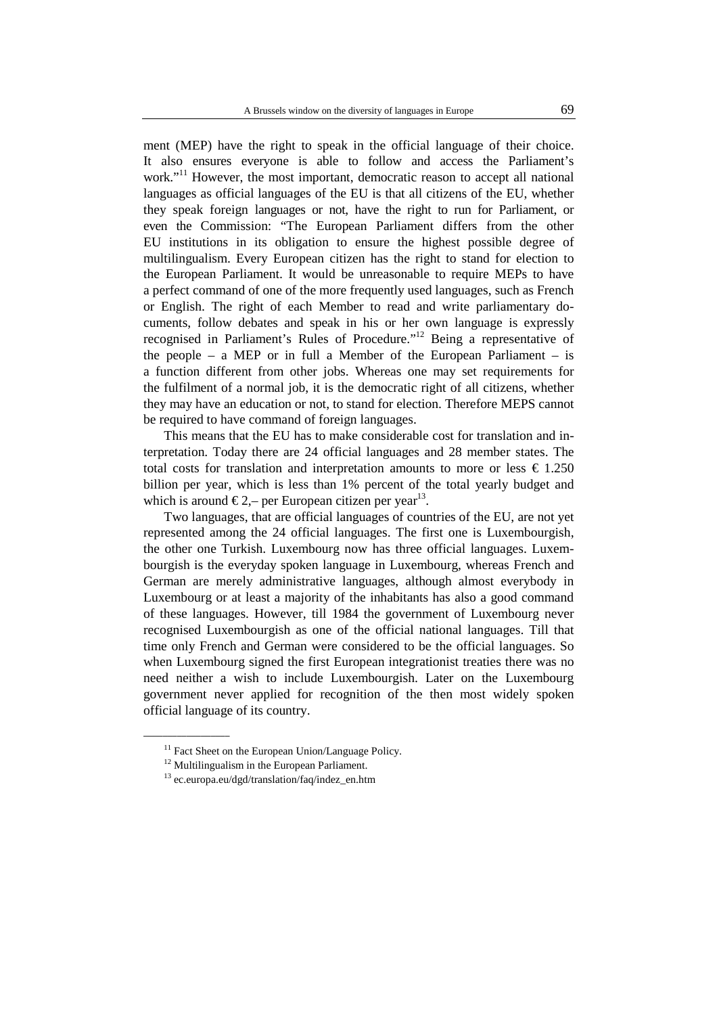ment (MEP) have the right to speak in the official language of their choice. It also ensures everyone is able to follow and access the Parliament's work."<sup>11</sup> However, the most important, democratic reason to accept all national languages as official languages of the EU is that all citizens of the EU, whether they speak foreign languages or not, have the right to run for Parliament, or even the Commission: "The European Parliament differs from the other EU institutions in its obligation to ensure the highest possible degree of multilingualism. Every European citizen has the right to stand for election to the European Parliament. It would be unreasonable to require MEPs to have a perfect command of one of the more frequently used languages, such as French or English. The right of each Member to read and write parliamentary documents, follow debates and speak in his or her own language is expressly recognised in Parliament's Rules of Procedure."<sup>12</sup> Being a representative of the people – a MEP or in full a Member of the European Parliament – is a function different from other jobs. Whereas one may set requirements for the fulfilment of a normal job, it is the democratic right of all citizens, whether they may have an education or not, to stand for election. Therefore MEPS cannot be required to have command of foreign languages.

This means that the EU has to make considerable cost for translation and interpretation. Today there are 24 official languages and 28 member states. The total costs for translation and interpretation amounts to more or less  $\epsilon$  1.250 billion per year, which is less than 1% percent of the total yearly budget and which is around  $\epsilon$  2,– per European citizen per year<sup>13</sup>.

Two languages, that are official languages of countries of the EU, are not yet represented among the 24 official languages. The first one is Luxembourgish, the other one Turkish. Luxembourg now has three official languages. Luxembourgish is the everyday spoken language in Luxembourg, whereas French and German are merely administrative languages, although almost everybody in Luxembourg or at least a majority of the inhabitants has also a good command of these languages. However, till 1984 the government of Luxembourg never recognised Luxembourgish as one of the official national languages. Till that time only French and German were considered to be the official languages. So when Luxembourg signed the first European integrationist treaties there was no need neither a wish to include Luxembourgish. Later on the Luxembourg government never applied for recognition of the then most widely spoken official language of its country.

 $\overline{\phantom{a}}$  , where  $\overline{\phantom{a}}$ 

<sup>&</sup>lt;sup>11</sup> Fact Sheet on the European Union/Language Policy.

 $12$  Multilingualism in the European Parliament.

<sup>13</sup> ec.europa.eu/dgd/translation/faq/indez\_en.htm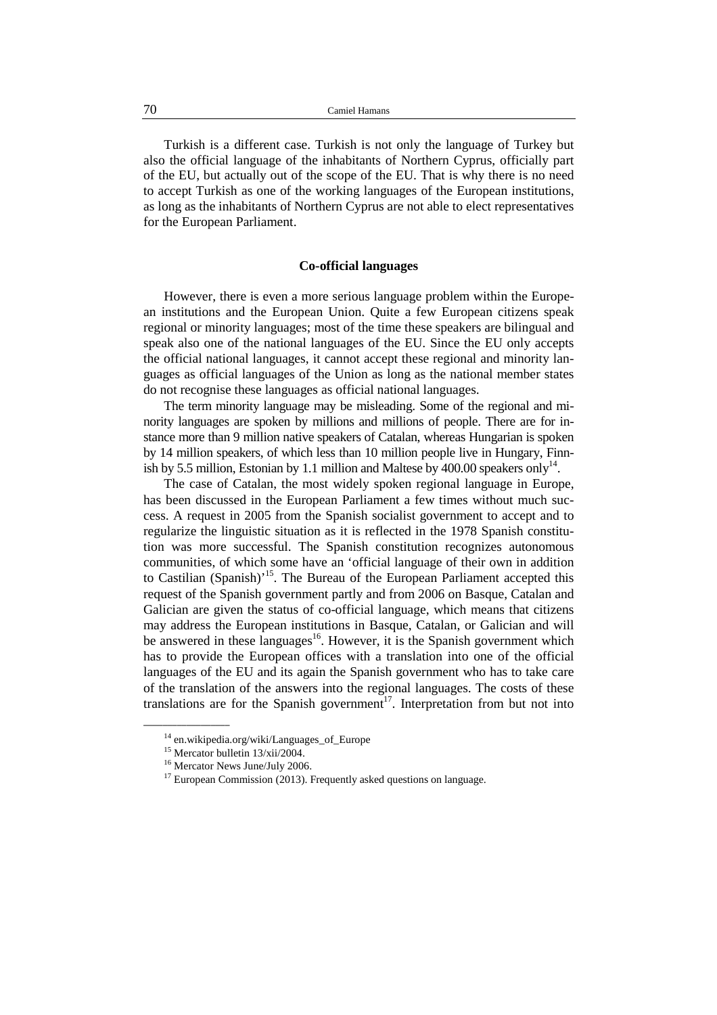Turkish is a different case. Turkish is not only the language of Turkey but also the official language of the inhabitants of Northern Cyprus, officially part of the EU, but actually out of the scope of the EU. That is why there is no need to accept Turkish as one of the working languages of the European institutions, as long as the inhabitants of Northern Cyprus are not able to elect representatives for the European Parliament.

#### **Co-official languages**

However, there is even a more serious language problem within the European institutions and the European Union. Quite a few European citizens speak regional or minority languages; most of the time these speakers are bilingual and speak also one of the national languages of the EU. Since the EU only accepts the official national languages, it cannot accept these regional and minority languages as official languages of the Union as long as the national member states do not recognise these languages as official national languages.

The term minority language may be misleading. Some of the regional and minority languages are spoken by millions and millions of people. There are for instance more than 9 million native speakers of Catalan, whereas Hungarian is spoken by 14 million speakers, of which less than 10 million people live in Hungary, Finnish by 5.5 million, Estonian by 1.1 million and Maltese by 400.00 speakers only<sup>14</sup>.

The case of Catalan, the most widely spoken regional language in Europe, has been discussed in the European Parliament a few times without much success. A request in 2005 from the Spanish socialist government to accept and to regularize the linguistic situation as it is reflected in the 1978 Spanish constitution was more successful. The Spanish constitution recognizes autonomous communities, of which some have an 'official language of their own in addition to Castilian (Spanish)<sup>15</sup>. The Bureau of the European Parliament accepted this request of the Spanish government partly and from 2006 on Basque, Catalan and Galician are given the status of co-official language, which means that citizens may address the European institutions in Basque, Catalan, or Galician and will be answered in these languages<sup>16</sup>. However, it is the Spanish government which has to provide the European offices with a translation into one of the official languages of the EU and its again the Spanish government who has to take care of the translation of the answers into the regional languages. The costs of these translations are for the Spanish government<sup>17</sup>. Interpretation from but not into

<sup>&</sup>lt;sup>14</sup> en.wikipedia.org/wiki/Languages\_of\_Europe

<sup>15</sup> Mercator bulletin 13/xii/2004.

<sup>&</sup>lt;sup>16</sup> Mercator News June/July 2006.

 $17$  European Commission (2013). Frequently asked questions on language.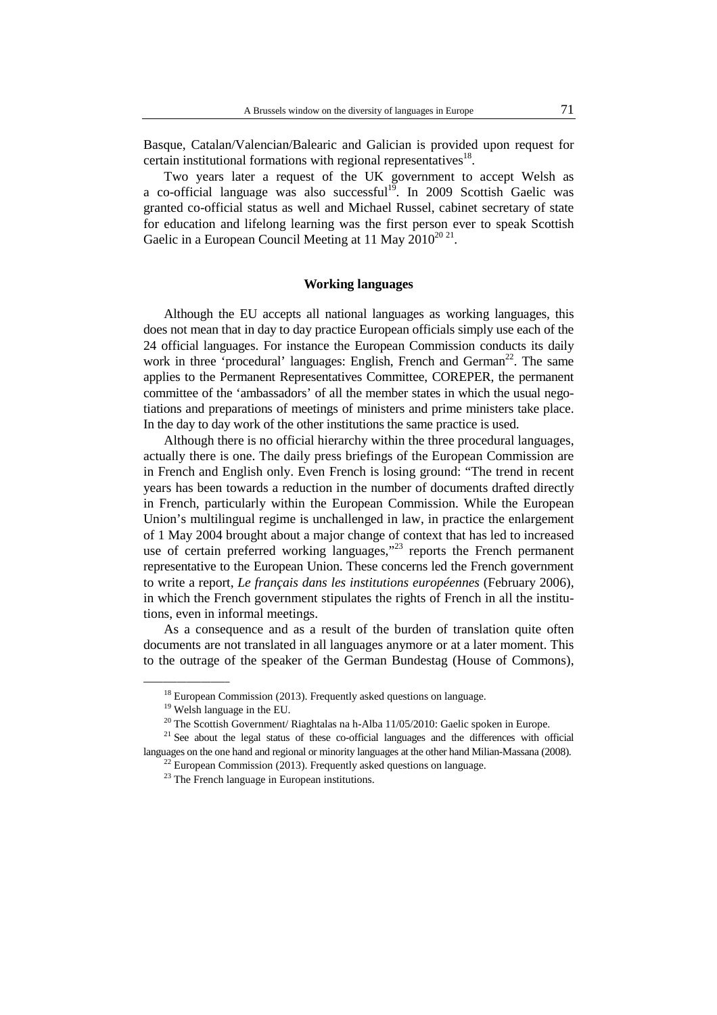Basque, Catalan/Valencian/Balearic and Galician is provided upon request for certain institutional formations with regional representatives $18$ .

Two years later a request of the UK government to accept Welsh as a co-official language was also successful<sup>19</sup>. In 2009 Scottish Gaelic was granted co-official status as well and Michael Russel, cabinet secretary of state for education and lifelong learning was the first person ever to speak Scottish Gaelic in a European Council Meeting at 11 May  $2010^{2021}$ .

#### **Working languages**

Although the EU accepts all national languages as working languages, this does not mean that in day to day practice European officials simply use each of the 24 official languages. For instance the European Commission conducts its daily work in three 'procedural' languages: English, French and German<sup>22</sup>. The same applies to the Permanent Representatives Committee, COREPER, the permanent committee of the 'ambassadors' of all the member states in which the usual negotiations and preparations of meetings of ministers and prime ministers take place. In the day to day work of the other institutions the same practice is used.

Although there is no official hierarchy within the three procedural languages, actually there is one. The daily press briefings of the European Commission are in French and English only. Even French is losing ground: "The trend in recent years has been towards a reduction in the number of documents drafted directly in French, particularly within the European Commission. While the European Union's multilingual regime is unchallenged in law, in practice the enlargement of 1 May 2004 brought about a major change of context that has led to increased use of certain preferred working languages, $123$  reports the French permanent representative to the European Union. These concerns led the French government to write a report, *Le français dans les institutions européennes* (February 2006), in which the French government stipulates the rights of French in all the institutions, even in informal meetings.

As a consequence and as a result of the burden of translation quite often documents are not translated in all languages anymore or at a later moment. This to the outrage of the speaker of the German Bundestag (House of Commons),

<sup>&</sup>lt;sup>18</sup> European Commission (2013). Frequently asked questions on language.

<sup>&</sup>lt;sup>19</sup> Welsh language in the EU.

<sup>&</sup>lt;sup>20</sup> The Scottish Government/ Riaghtalas na h-Alba 11/05/2010: Gaelic spoken in Europe.

 $21$  See about the legal status of these co-official languages and the differences with official languages on the one hand and regional or minority languages at the other hand Milian-Massana (2008).

 $^{22}$  European Commission (2013). Frequently asked questions on language.

 $23$  The French language in European institutions.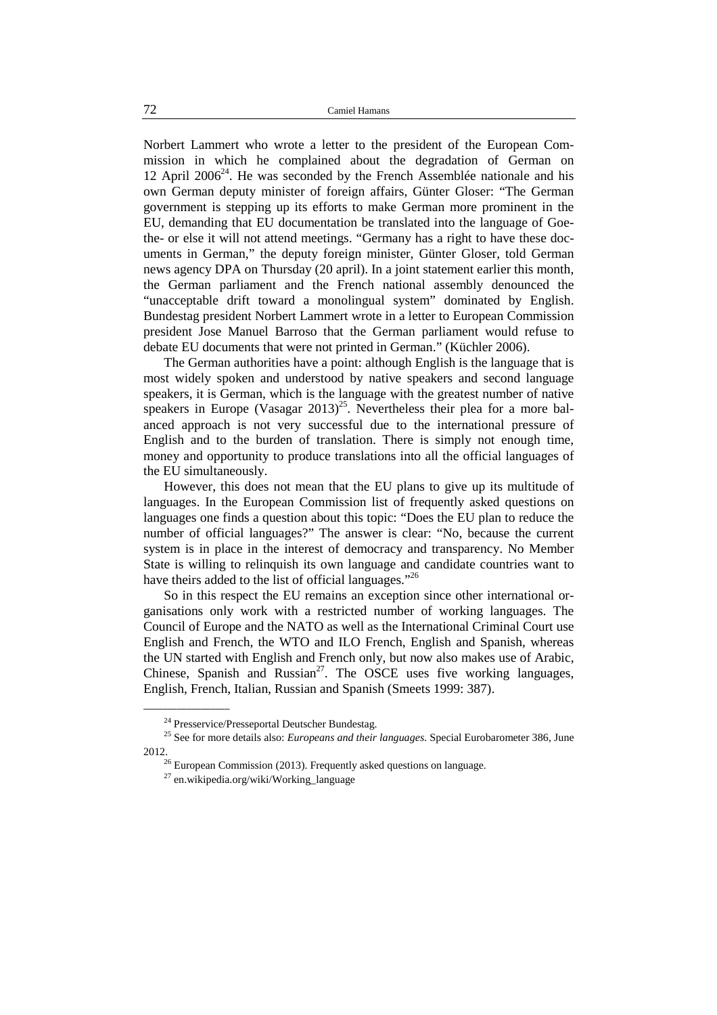Norbert Lammert who wrote a letter to the president of the European Commission in which he complained about the degradation of German on 12 April 2006<sup>24</sup>. He was seconded by the French Assemblée nationale and his own German deputy minister of foreign affairs, Günter Gloser: "The German government is stepping up its efforts to make German more prominent in the EU, demanding that EU documentation be translated into the language of Goethe- or else it will not attend meetings. "Germany has a right to have these documents in German," the deputy foreign minister, Günter Gloser, told German news agency DPA on Thursday (20 april). In a joint statement earlier this month, the German parliament and the French national assembly denounced the "unacceptable drift toward a monolingual system" dominated by English. Bundestag president Norbert Lammert wrote in a letter to European Commission president Jose Manuel Barroso that the German parliament would refuse to debate EU documents that were not printed in German." (Küchler 2006).

The German authorities have a point: although English is the language that is most widely spoken and understood by native speakers and second language speakers, it is German, which is the language with the greatest number of native speakers in Europe (Vasagar 2013)<sup>25</sup>. Nevertheless their plea for a more balanced approach is not very successful due to the international pressure of English and to the burden of translation. There is simply not enough time, money and opportunity to produce translations into all the official languages of the EU simultaneously.

However, this does not mean that the EU plans to give up its multitude of languages. In the European Commission list of frequently asked questions on languages one finds a question about this topic: "Does the EU plan to reduce the number of official languages?" The answer is clear: "No, because the current system is in place in the interest of democracy and transparency. No Member State is willing to relinquish its own language and candidate countries want to have theirs added to the list of official languages."<sup>26</sup>

So in this respect the EU remains an exception since other international organisations only work with a restricted number of working languages. The Council of Europe and the NATO as well as the International Criminal Court use English and French, the WTO and ILO French, English and Spanish, whereas the UN started with English and French only, but now also makes use of Arabic, Chinese, Spanish and Russian<sup>27</sup>. The OSCE uses five working languages, English, French, Italian, Russian and Spanish (Smeets 1999: 387).

<sup>&</sup>lt;sup>24</sup> Presservice/Presseportal Deutscher Bundestag.

<sup>&</sup>lt;sup>25</sup> See for more details also: *Europeans and their languages*. Special Eurobarometer 386, June 2012.

 $26$  European Commission (2013). Frequently asked questions on language.

 $^{27}$  en.wikipedia.org/wiki/Working language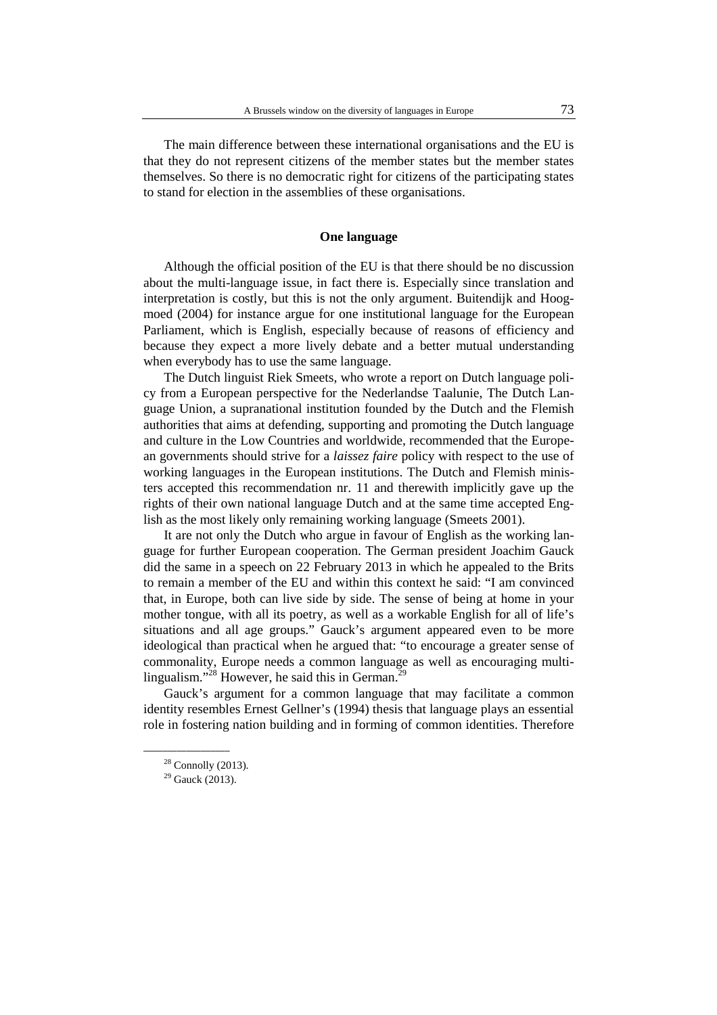The main difference between these international organisations and the EU is that they do not represent citizens of the member states but the member states themselves. So there is no democratic right for citizens of the participating states to stand for election in the assemblies of these organisations.

#### **One language**

Although the official position of the EU is that there should be no discussion about the multi-language issue, in fact there is. Especially since translation and interpretation is costly, but this is not the only argument. Buitendijk and Hoogmoed (2004) for instance argue for one institutional language for the European Parliament, which is English, especially because of reasons of efficiency and because they expect a more lively debate and a better mutual understanding when everybody has to use the same language.

The Dutch linguist Riek Smeets, who wrote a report on Dutch language policy from a European perspective for the Nederlandse Taalunie, The Dutch Language Union, a supranational institution founded by the Dutch and the Flemish authorities that aims at defending, supporting and promoting the Dutch language and culture in the Low Countries and worldwide, recommended that the European governments should strive for a *laissez faire* policy with respect to the use of working languages in the European institutions. The Dutch and Flemish ministers accepted this recommendation nr. 11 and therewith implicitly gave up the rights of their own national language Dutch and at the same time accepted English as the most likely only remaining working language (Smeets 2001).

It are not only the Dutch who argue in favour of English as the working language for further European cooperation. The German president Joachim Gauck did the same in a speech on 22 February 2013 in which he appealed to the Brits to remain a member of the EU and within this context he said: "I am convinced that, in Europe, both can live side by side. The sense of being at home in your mother tongue, with all its poetry, as well as a workable English for all of life's situations and all age groups." Gauck's argument appeared even to be more ideological than practical when he argued that: "to encourage a greater sense of commonality, Europe needs a common language as well as encouraging multilingualism."<sup>28</sup> However, he said this in German.<sup>29</sup>

Gauck's argument for a common language that may facilitate a common identity resembles Ernest Gellner's (1994) thesis that language plays an essential role in fostering nation building and in forming of common identities. Therefore

 $28$  Connolly (2013).

 $29$  Gauck (2013).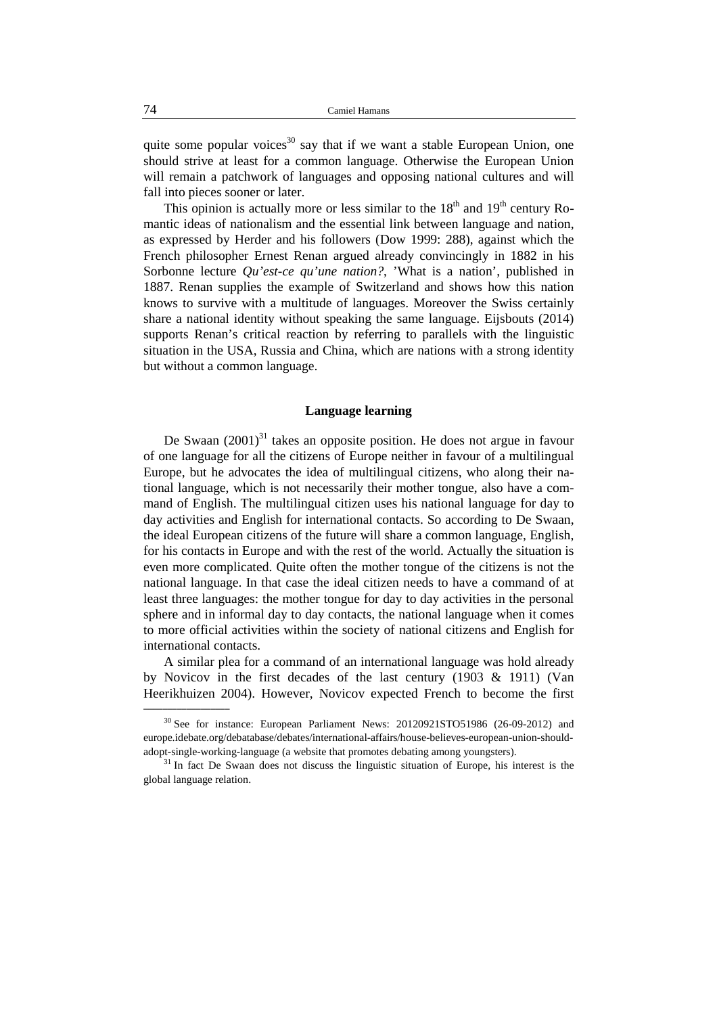quite some popular voices<sup>30</sup> say that if we want a stable European Union, one should strive at least for a common language. Otherwise the European Union will remain a patchwork of languages and opposing national cultures and will fall into pieces sooner or later.

This opinion is actually more or less similar to the  $18<sup>th</sup>$  and  $19<sup>th</sup>$  century Romantic ideas of nationalism and the essential link between language and nation, as expressed by Herder and his followers (Dow 1999: 288), against which the French philosopher Ernest Renan argued already convincingly in 1882 in his Sorbonne lecture *Qu'est-ce qu'une nation?*, 'What is a nation', published in 1887. Renan supplies the example of Switzerland and shows how this nation knows to survive with a multitude of languages. Moreover the Swiss certainly share a national identity without speaking the same language. Eijsbouts (2014) supports Renan's critical reaction by referring to parallels with the linguistic situation in the USA, Russia and China, which are nations with a strong identity but without a common language.

#### **Language learning**

De Swaan  $(2001)^{31}$  takes an opposite position. He does not argue in favour of one language for all the citizens of Europe neither in favour of a multilingual Europe, but he advocates the idea of multilingual citizens, who along their national language, which is not necessarily their mother tongue, also have a command of English. The multilingual citizen uses his national language for day to day activities and English for international contacts. So according to De Swaan, the ideal European citizens of the future will share a common language, English, for his contacts in Europe and with the rest of the world. Actually the situation is even more complicated. Quite often the mother tongue of the citizens is not the national language. In that case the ideal citizen needs to have a command of at least three languages: the mother tongue for day to day activities in the personal sphere and in informal day to day contacts, the national language when it comes to more official activities within the society of national citizens and English for international contacts.

A similar plea for a command of an international language was hold already by Novicov in the first decades of the last century (1903 & 1911) (Van Heerikhuizen 2004). However, Novicov expected French to become the first

<sup>&</sup>lt;sup>30</sup> See for instance: European Parliament News: 20120921STO51986 (26-09-2012) and europe.idebate.org/debatabase/debates/international-affairs/house-believes-european-union-shouldadopt-single-working-language (a website that promotes debating among youngsters).

 $31$  In fact De Swaan does not discuss the linguistic situation of Europe, his interest is the global language relation.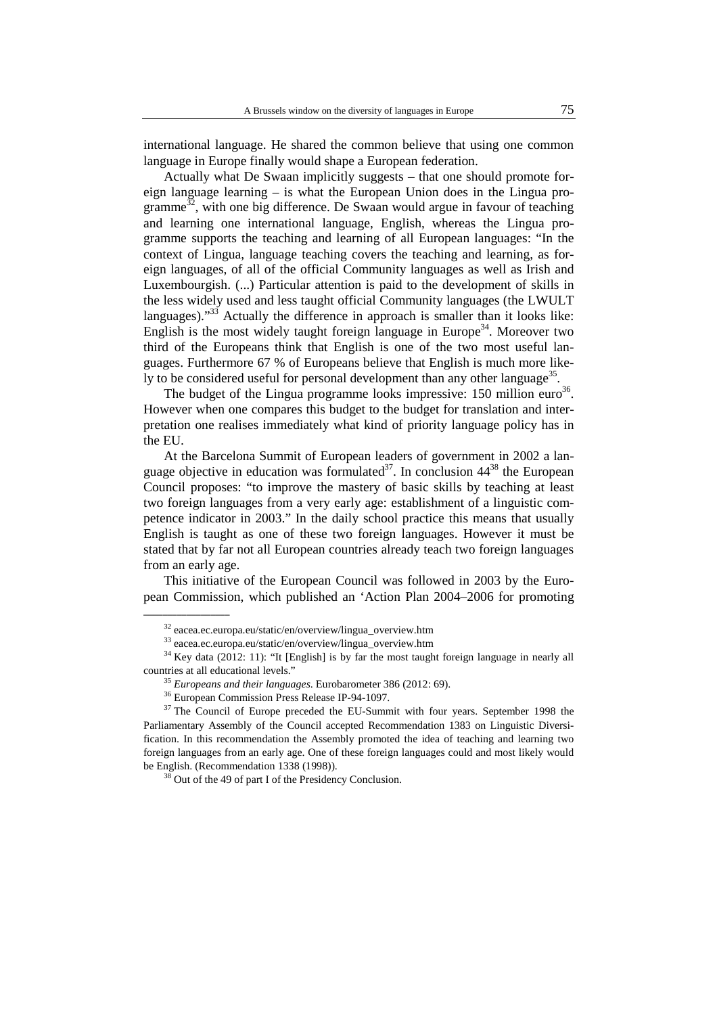international language. He shared the common believe that using one common language in Europe finally would shape a European federation.

Actually what De Swaan implicitly suggests – that one should promote foreign language learning – is what the European Union does in the Lingua programme<sup>32</sup>, with one big difference. De Swaan would argue in favour of teaching and learning one international language, English, whereas the Lingua programme supports the teaching and learning of all European languages: "In the context of Lingua, language teaching covers the teaching and learning, as foreign languages, of all of the official Community languages as well as Irish and Luxembourgish. (...) Particular attention is paid to the development of skills in the less widely used and less taught official Community languages (the LWULT languages)."<sup>33</sup> Actually the difference in approach is smaller than it looks like: English is the most widely taught foreign language in Europe<sup>34</sup>. Moreover two third of the Europeans think that English is one of the two most useful languages. Furthermore 67 % of Europeans believe that English is much more likely to be considered useful for personal development than any other language<sup>35</sup>.

The budget of the Lingua programme looks impressive: 150 million euro $36$ . However when one compares this budget to the budget for translation and interpretation one realises immediately what kind of priority language policy has in the EU.

At the Barcelona Summit of European leaders of government in 2002 a language objective in education was formulated<sup>37</sup>. In conclusion  $44^{38}$  the European Council proposes: "to improve the mastery of basic skills by teaching at least two foreign languages from a very early age: establishment of a linguistic competence indicator in 2003." In the daily school practice this means that usually English is taught as one of these two foreign languages. However it must be stated that by far not all European countries already teach two foreign languages from an early age.

This initiative of the European Council was followed in 2003 by the European Commission, which published an 'Action Plan 2004–2006 for promoting

 $\overline{\phantom{a}}$  , where  $\overline{\phantom{a}}$ 

<sup>32</sup> eacea.ec.europa.eu/static/en/overview/lingua\_overview.htm

<sup>33</sup> eacea.ec.europa.eu/static/en/overview/lingua\_overview.htm

<sup>&</sup>lt;sup>34</sup> Key data (2012: 11): "It [English] is by far the most taught foreign language in nearly all countries at all educational levels."

<sup>35</sup> *Europeans and their languages*. Eurobarometer 386 (2012: 69).

<sup>36</sup> European Commission Press Release IP-94-1097.

 $37$  The Council of Europe preceded the EU-Summit with four years. September 1998 the Parliamentary Assembly of the Council accepted Recommendation 1383 on Linguistic Diversification. In this recommendation the Assembly promoted the idea of teaching and learning two foreign languages from an early age. One of these foreign languages could and most likely would be English. (Recommendation 1338 (1998)).

<sup>&</sup>lt;sup>38</sup> Out of the 49 of part I of the Presidency Conclusion.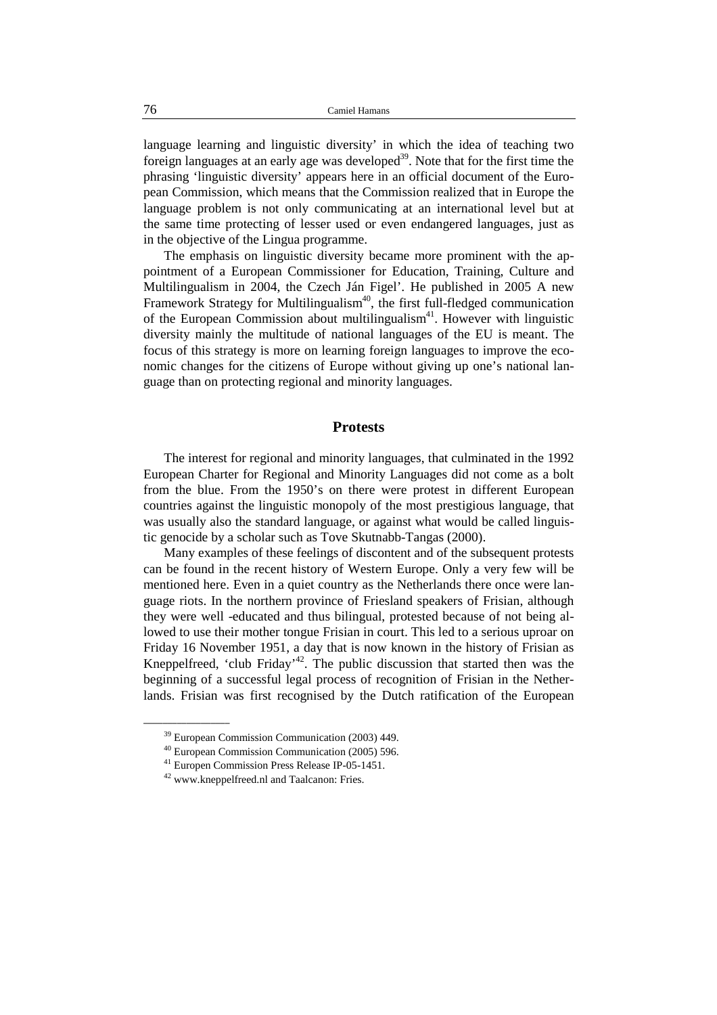language learning and linguistic diversity' in which the idea of teaching two foreign languages at an early age was developed<sup>39</sup>. Note that for the first time the phrasing 'linguistic diversity' appears here in an official document of the European Commission, which means that the Commission realized that in Europe the language problem is not only communicating at an international level but at the same time protecting of lesser used or even endangered languages, just as in the objective of the Lingua programme.

The emphasis on linguistic diversity became more prominent with the appointment of a European Commissioner for Education, Training, Culture and Multilingualism in 2004, the Czech Ján Figel'. He published in 2005 A new Framework Strategy for Multilingualism<sup>40</sup>, the first full-fledged communication of the European Commission about multilingualism<sup>41</sup>. However with linguistic diversity mainly the multitude of national languages of the EU is meant. The focus of this strategy is more on learning foreign languages to improve the economic changes for the citizens of Europe without giving up one's national language than on protecting regional and minority languages.

## **Protests**

The interest for regional and minority languages, that culminated in the 1992 European Charter for Regional and Minority Languages did not come as a bolt from the blue. From the 1950's on there were protest in different European countries against the linguistic monopoly of the most prestigious language, that was usually also the standard language, or against what would be called linguistic genocide by a scholar such as Tove Skutnabb-Tangas (2000).

Many examples of these feelings of discontent and of the subsequent protests can be found in the recent history of Western Europe. Only a very few will be mentioned here. Even in a quiet country as the Netherlands there once were language riots. In the northern province of Friesland speakers of Frisian, although they were well -educated and thus bilingual, protested because of not being allowed to use their mother tongue Frisian in court. This led to a serious uproar on Friday 16 November 1951, a day that is now known in the history of Frisian as Kneppelfreed, 'club Friday'<sup>42</sup>. The public discussion that started then was the beginning of a successful legal process of recognition of Frisian in the Netherlands. Frisian was first recognised by the Dutch ratification of the European

<sup>39</sup> European Commission Communication (2003) 449.

<sup>40</sup> European Commission Communication (2005) 596.

<sup>41</sup> Europen Commission Press Release IP-05-1451.

<sup>42</sup> www.kneppelfreed.nl and Taalcanon: Fries.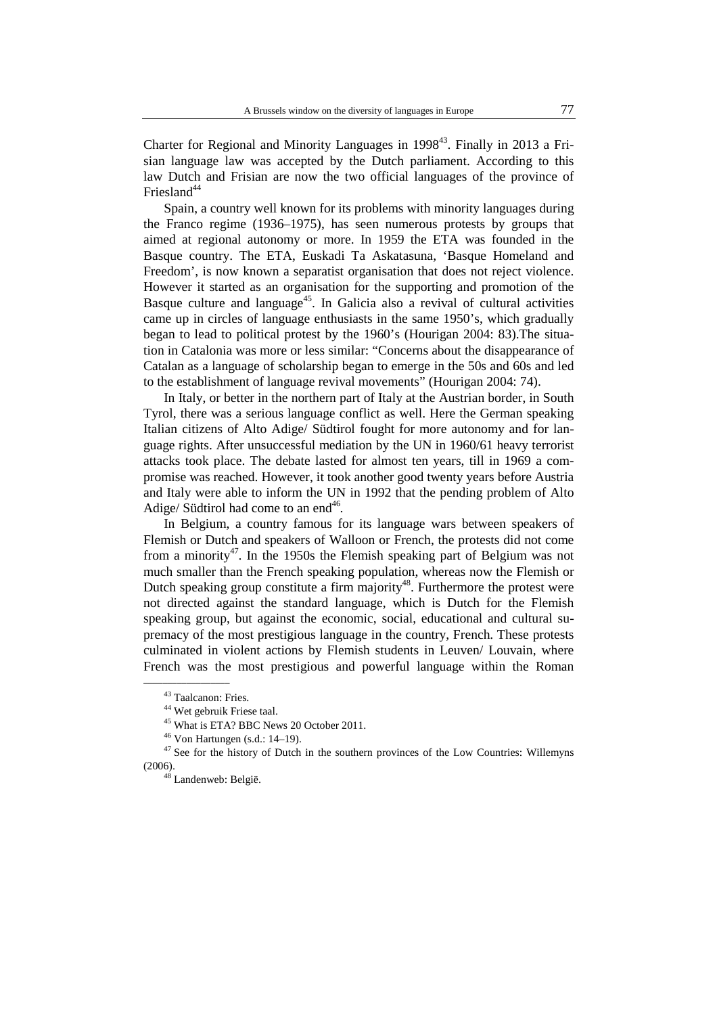Charter for Regional and Minority Languages in  $1998<sup>43</sup>$ . Finally in 2013 a Frisian language law was accepted by the Dutch parliament. According to this law Dutch and Frisian are now the two official languages of the province of Friesland $44$ 

Spain, a country well known for its problems with minority languages during the Franco regime (1936–1975), has seen numerous protests by groups that aimed at regional autonomy or more. In 1959 the ETA was founded in the Basque country. The ETA, Euskadi Ta Askatasuna, 'Basque Homeland and Freedom', is now known a separatist organisation that does not reject violence. However it started as an organisation for the supporting and promotion of the Basque culture and language<sup>45</sup>. In Galicia also a revival of cultural activities came up in circles of language enthusiasts in the same 1950's, which gradually began to lead to political protest by the 1960's (Hourigan 2004: 83).The situation in Catalonia was more or less similar: "Concerns about the disappearance of Catalan as a language of scholarship began to emerge in the 50s and 60s and led to the establishment of language revival movements" (Hourigan 2004: 74).

In Italy, or better in the northern part of Italy at the Austrian border, in South Tyrol, there was a serious language conflict as well. Here the German speaking Italian citizens of Alto Adige/ Südtirol fought for more autonomy and for language rights. After unsuccessful mediation by the UN in 1960/61 heavy terrorist attacks took place. The debate lasted for almost ten years, till in 1969 a compromise was reached. However, it took another good twenty years before Austria and Italy were able to inform the UN in 1992 that the pending problem of Alto Adige/ Südtirol had come to an end<sup>46</sup>.

In Belgium, a country famous for its language wars between speakers of Flemish or Dutch and speakers of Walloon or French, the protests did not come from a minority<sup>47</sup>. In the 1950s the Flemish speaking part of Belgium was not much smaller than the French speaking population, whereas now the Flemish or Dutch speaking group constitute a firm majority<sup>48</sup>. Furthermore the protest were not directed against the standard language, which is Dutch for the Flemish speaking group, but against the economic, social, educational and cultural supremacy of the most prestigious language in the country, French. These protests culminated in violent actions by Flemish students in Leuven/ Louvain, where French was the most prestigious and powerful language within the Roman

 $\overline{\phantom{a}}$  , where  $\overline{\phantom{a}}$ 

<sup>43</sup> Taalcanon: Fries.

<sup>44</sup> Wet gebruik Friese taal.

<sup>&</sup>lt;sup>45</sup> What is ETA? BBC News 20 October 2011.

 $46$  Von Hartungen (s.d.: 14–19).

 $47$  See for the history of Dutch in the southern provinces of the Low Countries: Willemyns (2006).

<sup>48</sup> Landenweb: België.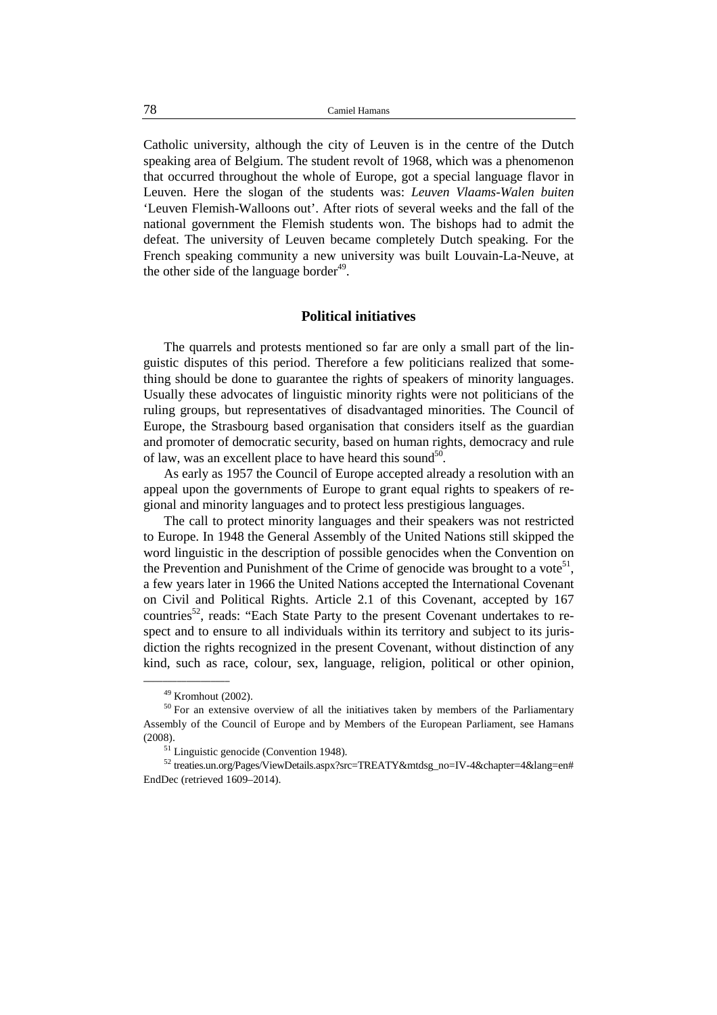Catholic university, although the city of Leuven is in the centre of the Dutch speaking area of Belgium. The student revolt of 1968, which was a phenomenon that occurred throughout the whole of Europe, got a special language flavor in Leuven. Here the slogan of the students was: *Leuven Vlaams-Walen buiten* 'Leuven Flemish-Walloons out'. After riots of several weeks and the fall of the national government the Flemish students won. The bishops had to admit the defeat. The university of Leuven became completely Dutch speaking. For the French speaking community a new university was built Louvain-La-Neuve, at the other side of the language border $49$ .

## **Political initiatives**

The quarrels and protests mentioned so far are only a small part of the linguistic disputes of this period. Therefore a few politicians realized that something should be done to guarantee the rights of speakers of minority languages. Usually these advocates of linguistic minority rights were not politicians of the ruling groups, but representatives of disadvantaged minorities. The Council of Europe, the Strasbourg based organisation that considers itself as the guardian and promoter of democratic security, based on human rights, democracy and rule of law, was an excellent place to have heard this sound<sup>50</sup>.

As early as 1957 the Council of Europe accepted already a resolution with an appeal upon the governments of Europe to grant equal rights to speakers of regional and minority languages and to protect less prestigious languages.

The call to protect minority languages and their speakers was not restricted to Europe. In 1948 the General Assembly of the United Nations still skipped the word linguistic in the description of possible genocides when the Convention on the Prevention and Punishment of the Crime of genocide was brought to a vote<sup>51</sup>, a few years later in 1966 the United Nations accepted the International Covenant on Civil and Political Rights. Article 2.1 of this Covenant, accepted by 167 countries<sup>52</sup>, reads: "Each State Party to the present Covenant undertakes to respect and to ensure to all individuals within its territory and subject to its jurisdiction the rights recognized in the present Covenant, without distinction of any kind, such as race, colour, sex, language, religion, political or other opinion,

 $\overline{\phantom{a}}$  , where  $\overline{\phantom{a}}$ 

<sup>49</sup> Kromhout (2002).

<sup>&</sup>lt;sup>50</sup> For an extensive overview of all the initiatives taken by members of the Parliamentary Assembly of the Council of Europe and by Members of the European Parliament, see Hamans (2008).

<sup>&</sup>lt;sup>51</sup> Linguistic genocide (Convention 1948).

<sup>52</sup> treaties.un.org/Pages/ViewDetails.aspx?src=TREATY&mtdsg\_no=IV-4&chapter=4&lang=en# EndDec (retrieved 1609–2014).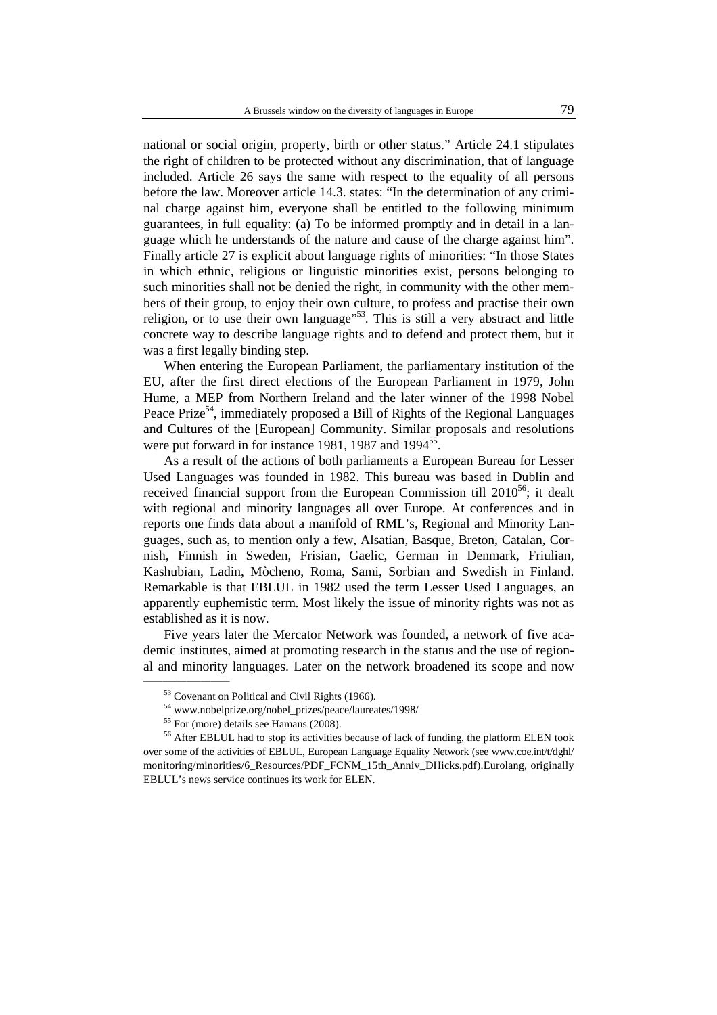national or social origin, property, birth or other status." Article 24.1 stipulates the right of children to be protected without any discrimination, that of language included. Article 26 says the same with respect to the equality of all persons before the law. Moreover article 14.3. states: "In the determination of any criminal charge against him, everyone shall be entitled to the following minimum guarantees, in full equality: (a) To be informed promptly and in detail in a language which he understands of the nature and cause of the charge against him". Finally article 27 is explicit about language rights of minorities: "In those States in which ethnic, religious or linguistic minorities exist, persons belonging to such minorities shall not be denied the right, in community with the other members of their group, to enjoy their own culture, to profess and practise their own religion, or to use their own language"<sup>53</sup>. This is still a very abstract and little concrete way to describe language rights and to defend and protect them, but it was a first legally binding step.

When entering the European Parliament, the parliamentary institution of the EU, after the first direct elections of the European Parliament in 1979, John Hume, a MEP from Northern Ireland and the later winner of the 1998 Nobel Peace Prize<sup>54</sup>, immediately proposed a Bill of Rights of the Regional Languages and Cultures of the [European] Community. Similar proposals and resolutions were put forward in for instance 1981, 1987 and 1994<sup>55</sup>.

As a result of the actions of both parliaments a European Bureau for Lesser Used Languages was founded in 1982. This bureau was based in Dublin and received financial support from the European Commission till  $2010^{56}$ ; it dealt with regional and minority languages all over Europe. At conferences and in reports one finds data about a manifold of RML's, Regional and Minority Languages, such as, to mention only a few, Alsatian, Basque, Breton, Catalan, Cornish, Finnish in Sweden, Frisian, Gaelic, German in Denmark, Friulian, Kashubian, Ladin, Mòcheno, Roma, Sami, Sorbian and Swedish in Finland. Remarkable is that EBLUL in 1982 used the term Lesser Used Languages, an apparently euphemistic term. Most likely the issue of minority rights was not as established as it is now.

Five years later the Mercator Network was founded, a network of five academic institutes, aimed at promoting research in the status and the use of regional and minority languages. Later on the network broadened its scope and now

 $\frac{1}{2}$  ,  $\frac{1}{2}$  ,  $\frac{1}{2}$  ,  $\frac{1}{2}$  ,  $\frac{1}{2}$  ,  $\frac{1}{2}$  ,  $\frac{1}{2}$ 

<sup>53</sup> Covenant on Political and Civil Rights (1966).

<sup>54</sup> www.nobelprize.org/nobel\_prizes/peace/laureates/1998/

<sup>55</sup> For (more) details see Hamans (2008).

<sup>&</sup>lt;sup>56</sup> After EBLUL had to stop its activities because of lack of funding, the platform ELEN took over some of the activities of EBLUL, European Language Equality Network (see www.coe.int/t/dghl/ monitoring/minorities/6\_Resources/PDF\_FCNM\_15th\_Anniv\_DHicks.pdf).Eurolang, originally EBLUL's news service continues its work for ELEN.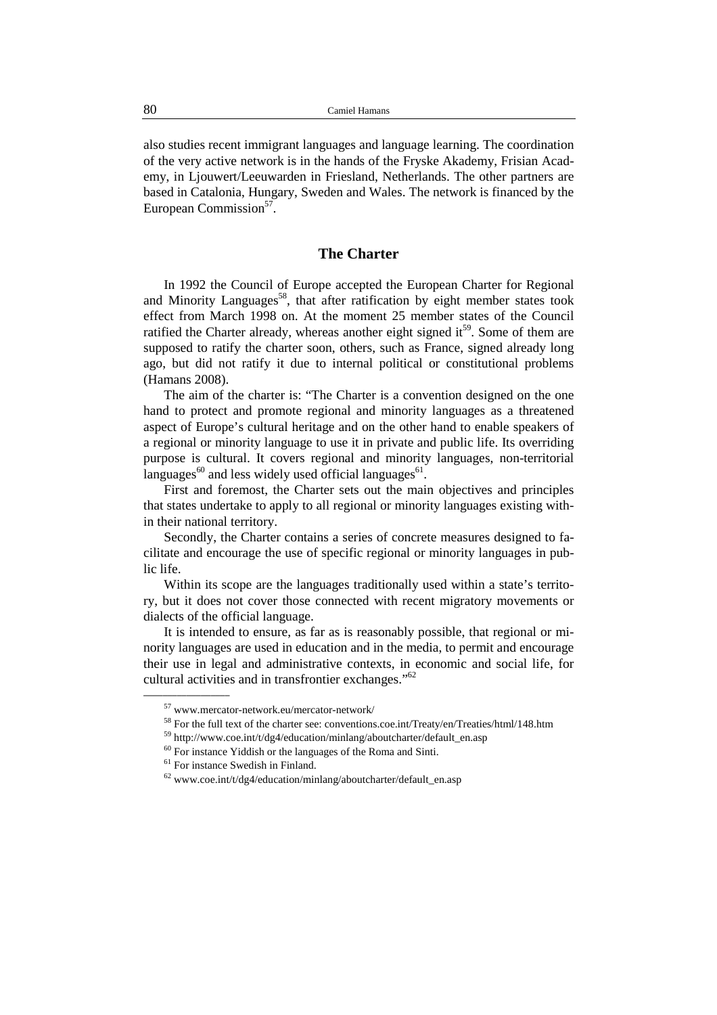also studies recent immigrant languages and language learning. The coordination of the very active network is in the hands of the Fryske Akademy, Frisian Academy, in Ljouwert/Leeuwarden in Friesland, Netherlands. The other partners are based in Catalonia, Hungary, Sweden and Wales. The network is financed by the European Commission<sup>57</sup>.

## **The Charter**

In 1992 the Council of Europe accepted the European Charter for Regional and Minority Languages<sup>58</sup>, that after ratification by eight member states took effect from March 1998 on. At the moment 25 member states of the Council ratified the Charter already, whereas another eight signed it<sup>59</sup>. Some of them are supposed to ratify the charter soon, others, such as France, signed already long ago, but did not ratify it due to internal political or constitutional problems (Hamans 2008).

The aim of the charter is: "The Charter is a convention designed on the one hand to protect and promote regional and minority languages as a threatened aspect of Europe's cultural heritage and on the other hand to enable speakers of a regional or minority language to use it in private and public life. Its overriding purpose is cultural. It covers regional and minority languages, non-territorial languages $^{60}$  and less widely used official languages $^{61}$ .

First and foremost, the Charter sets out the main objectives and principles that states undertake to apply to all regional or minority languages existing within their national territory.

Secondly, the Charter contains a series of concrete measures designed to facilitate and encourage the use of specific regional or minority languages in public life.

Within its scope are the languages traditionally used within a state's territory, but it does not cover those connected with recent migratory movements or dialects of the official language.

It is intended to ensure, as far as is reasonably possible, that regional or minority languages are used in education and in the media, to permit and encourage their use in legal and administrative contexts, in economic and social life, for cultural activities and in transfrontier exchanges." 62 \_\_\_\_\_\_\_\_\_\_\_\_\_\_\_\_\_\_

 $^{57}$ www.mercator-network.eu/mercator-network/  $\,$ 

<sup>58</sup> For the full text of the charter see: conventions.coe.int/Treaty/en/Treaties/html/148.htm

<sup>59</sup> http://www.coe.int/t/dg4/education/minlang/aboutcharter/default\_en.asp

<sup>&</sup>lt;sup>60</sup> For instance Yiddish or the languages of the Roma and Sinti.

<sup>&</sup>lt;sup>61</sup> For instance Swedish in Finland.

 $62$  www.coe.int/t/dg4/education/minlang/aboutcharter/default\_en.asp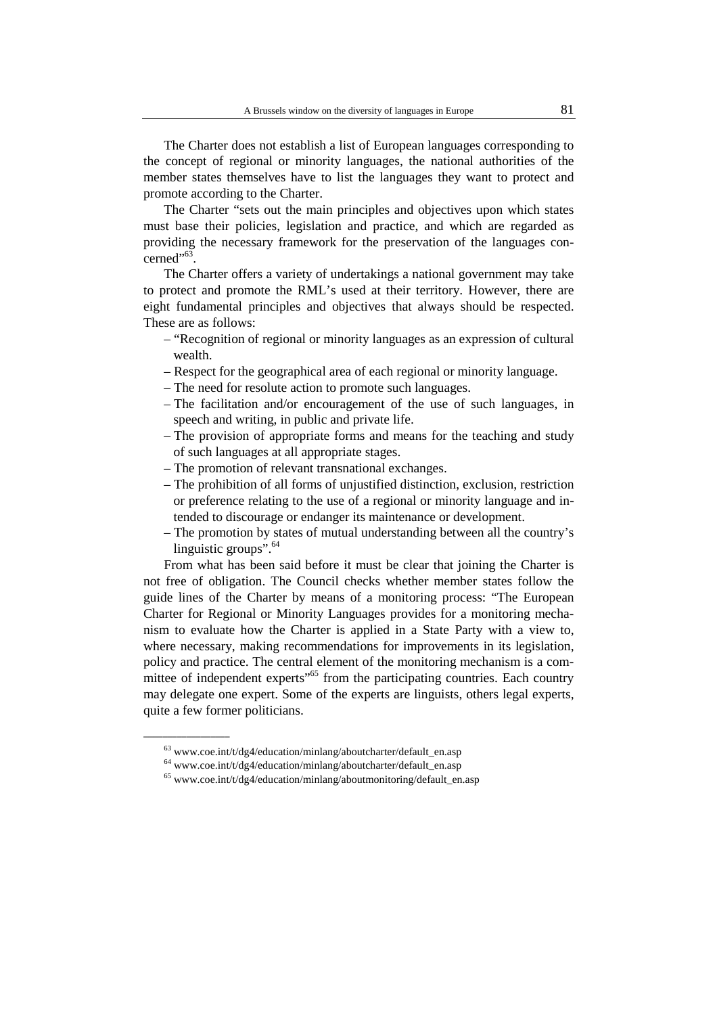The Charter does not establish a list of European languages corresponding to the concept of regional or minority languages, the national authorities of the member states themselves have to list the languages they want to protect and promote according to the Charter.

The Charter "sets out the main principles and objectives upon which states must base their policies, legislation and practice, and which are regarded as providing the necessary framework for the preservation of the languages concerned"<sup>63</sup>.

The Charter offers a variety of undertakings a national government may take to protect and promote the RML's used at their territory. However, there are eight fundamental principles and objectives that always should be respected. These are as follows:

- "Recognition of regional or minority languages as an expression of cultural wealth.
- Respect for the geographical area of each regional or minority language.
- The need for resolute action to promote such languages.
- The facilitation and/or encouragement of the use of such languages, in speech and writing, in public and private life.
- The provision of appropriate forms and means for the teaching and study of such languages at all appropriate stages.
- The promotion of relevant transnational exchanges.
- The prohibition of all forms of unjustified distinction, exclusion, restriction or preference relating to the use of a regional or minority language and intended to discourage or endanger its maintenance or development.
- The promotion by states of mutual understanding between all the country's linguistic groups".  $64$

From what has been said before it must be clear that joining the Charter is not free of obligation. The Council checks whether member states follow the guide lines of the Charter by means of a monitoring process: "The European Charter for Regional or Minority Languages provides for a monitoring mechanism to evaluate how the Charter is applied in a State Party with a view to, where necessary, making recommendations for improvements in its legislation, policy and practice. The central element of the monitoring mechanism is a committee of independent experts<sup>"65</sup> from the participating countries. Each country may delegate one expert. Some of the experts are linguists, others legal experts, quite a few former politicians.

 $^{63}$ www.coe.int/t/dg4/education/minlang/aboutcharter/default\_en.asp

<sup>64</sup> www.coe.int/t/dg4/education/minlang/aboutcharter/default\_en.asp

 $65$  www.coe.int/t/dg4/education/minlang/aboutmonitoring/default\_en.asp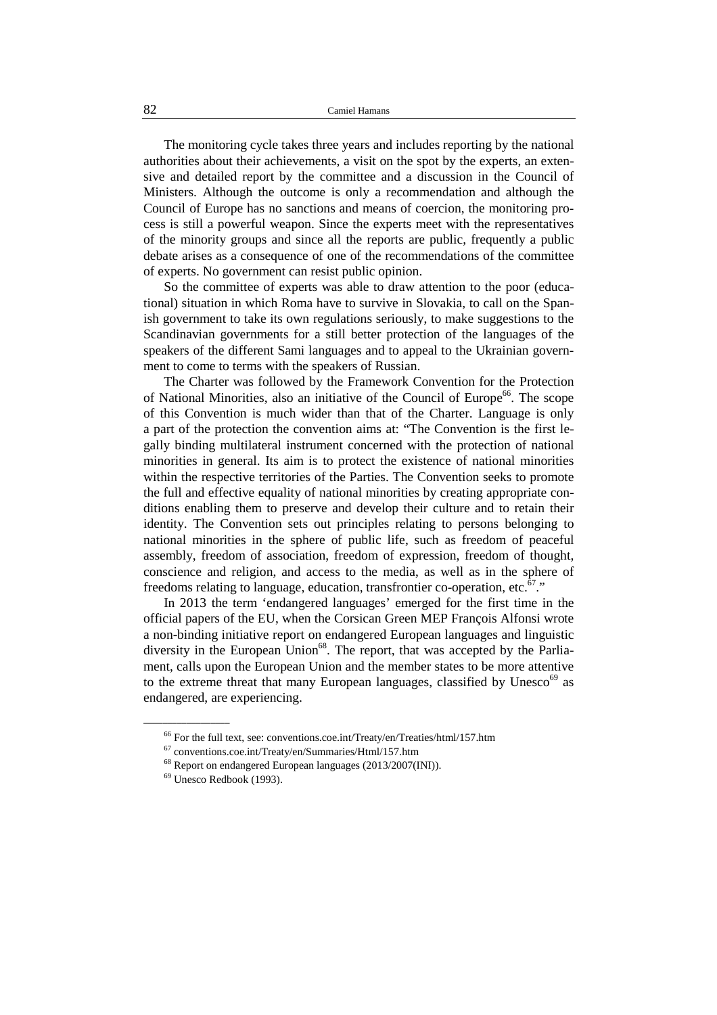The monitoring cycle takes three years and includes reporting by the national authorities about their achievements, a visit on the spot by the experts, an extensive and detailed report by the committee and a discussion in the Council of Ministers. Although the outcome is only a recommendation and although the Council of Europe has no sanctions and means of coercion, the monitoring process is still a powerful weapon. Since the experts meet with the representatives of the minority groups and since all the reports are public, frequently a public debate arises as a consequence of one of the recommendations of the committee of experts. No government can resist public opinion.

So the committee of experts was able to draw attention to the poor (educational) situation in which Roma have to survive in Slovakia, to call on the Spanish government to take its own regulations seriously, to make suggestions to the Scandinavian governments for a still better protection of the languages of the speakers of the different Sami languages and to appeal to the Ukrainian government to come to terms with the speakers of Russian.

The Charter was followed by the Framework Convention for the Protection of National Minorities, also an initiative of the Council of Europe<sup>66</sup>. The scope of this Convention is much wider than that of the Charter. Language is only a part of the protection the convention aims at: "The Convention is the first legally binding multilateral instrument concerned with the protection of national minorities in general. Its aim is to protect the existence of national minorities within the respective territories of the Parties. The Convention seeks to promote the full and effective equality of national minorities by creating appropriate conditions enabling them to preserve and develop their culture and to retain their identity. The Convention sets out principles relating to persons belonging to national minorities in the sphere of public life, such as freedom of peaceful assembly, freedom of association, freedom of expression, freedom of thought, conscience and religion, and access to the media, as well as in the sphere of freedoms relating to language, education, transfrontier co-operation, etc.<sup>67</sup>."

In 2013 the term 'endangered languages' emerged for the first time in the official papers of the EU, when the Corsican Green MEP François Alfonsi wrote a non-binding initiative report on endangered European languages and linguistic diversity in the European Union<sup>68</sup>. The report, that was accepted by the Parliament, calls upon the European Union and the member states to be more attentive to the extreme threat that many European languages, classified by Unesco<sup>69</sup> as endangered, are experiencing.

<sup>66</sup> For the full text, see: conventions.coe.int/Treaty/en/Treaties/html/157.htm

<sup>67</sup> conventions.coe.int/Treaty/en/Summaries/Html/157.htm

<sup>68</sup> Report on endangered European languages (2013/2007(INI)).

 $69$  Unesco Redbook (1993).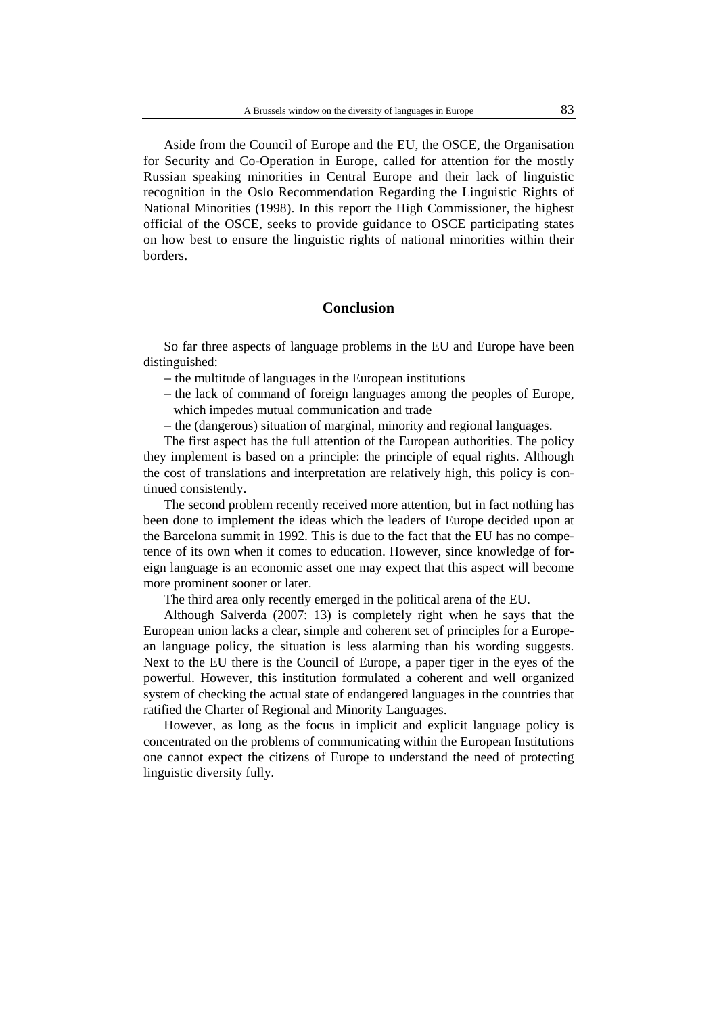Aside from the Council of Europe and the EU, the OSCE, the Organisation for Security and Co-Operation in Europe, called for attention for the mostly Russian speaking minorities in Central Europe and their lack of linguistic recognition in the Oslo Recommendation Regarding the Linguistic Rights of National Minorities (1998). In this report the High Commissioner, the highest official of the OSCE, seeks to provide guidance to OSCE participating states on how best to ensure the linguistic rights of national minorities within their borders.

# **Conclusion**

So far three aspects of language problems in the EU and Europe have been distinguished:

- the multitude of languages in the European institutions
- the lack of command of foreign languages among the peoples of Europe, which impedes mutual communication and trade
- the (dangerous) situation of marginal, minority and regional languages.

The first aspect has the full attention of the European authorities. The policy they implement is based on a principle: the principle of equal rights. Although the cost of translations and interpretation are relatively high, this policy is continued consistently.

The second problem recently received more attention, but in fact nothing has been done to implement the ideas which the leaders of Europe decided upon at the Barcelona summit in 1992. This is due to the fact that the EU has no competence of its own when it comes to education. However, since knowledge of foreign language is an economic asset one may expect that this aspect will become more prominent sooner or later.

The third area only recently emerged in the political arena of the EU.

Although Salverda (2007: 13) is completely right when he says that the European union lacks a clear, simple and coherent set of principles for a European language policy, the situation is less alarming than his wording suggests. Next to the EU there is the Council of Europe, a paper tiger in the eyes of the powerful. However, this institution formulated a coherent and well organized system of checking the actual state of endangered languages in the countries that ratified the Charter of Regional and Minority Languages.

However, as long as the focus in implicit and explicit language policy is concentrated on the problems of communicating within the European Institutions one cannot expect the citizens of Europe to understand the need of protecting linguistic diversity fully.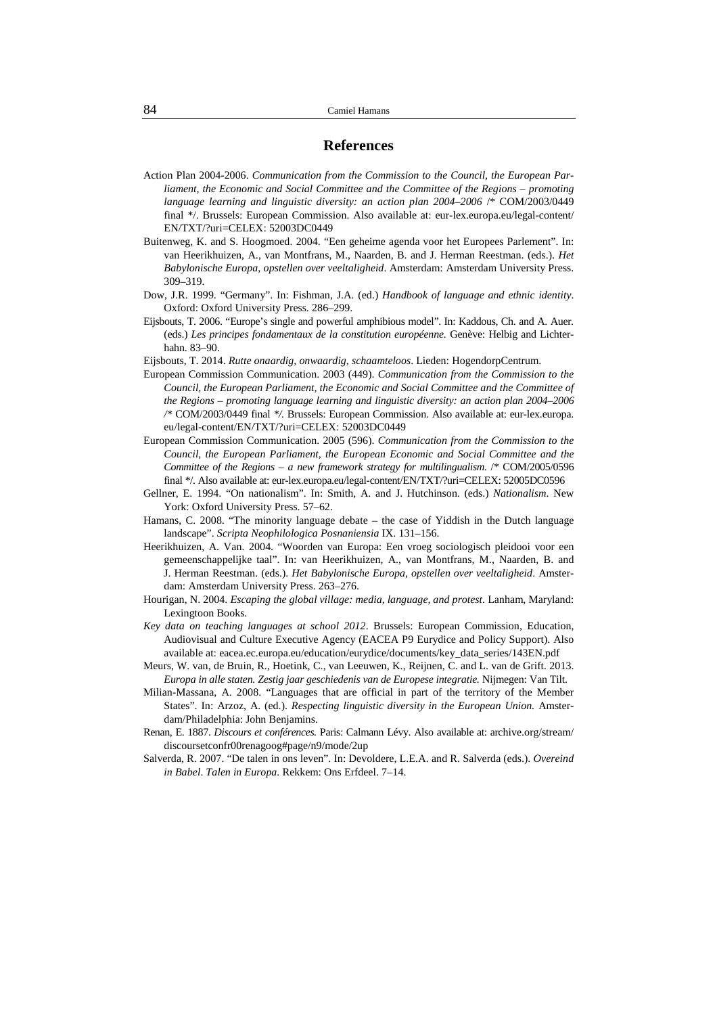#### **References**

- Action Plan 2004-2006. *Communication from the Commission to the Council, the European Parliament, the Economic and Social Committee and the Committee of the Regions – promoting language learning and linguistic diversity: an action plan 2004–2006* /\* COM/2003/0449 final \*/. Brussels: European Commission. Also available at: eur-lex.europa.eu/legal-content/ EN/TXT/?uri=CELEX: 52003DC0449
- Buitenweg, K. and S. Hoogmoed. 2004. "Een geheime agenda voor het Europees Parlement". In: van Heerikhuizen, A., van Montfrans, M., Naarden, B. and J. Herman Reestman. (eds.). *Het Babylonische Europa, opstellen over veeltaligheid*. Amsterdam: Amsterdam University Press. 309–319.
- Dow, J.R. 1999. "Germany". In: Fishman, J.A. (ed.) *Handbook of language and ethnic identity*. Oxford: Oxford University Press. 286–299.
- Eijsbouts, T. 2006. "Europe's single and powerful amphibious model". In: Kaddous, Ch. and A. Auer. (eds.) *Les principes fondamentaux de la constitution européenne.* Genève: Helbig and Lichterhahn. 83–90.
- Eijsbouts, T. 2014. *Rutte onaardig, onwaardig, schaamteloos*. Lieden: HogendorpCentrum.
- European Commission Communication. 2003 (449). *Communication from the Commission to the Council, the European Parliament, the Economic and Social Committee and the Committee of the Regions – promoting language learning and linguistic diversity: an action plan 2004–2006 /\** COM/2003/0449 final *\*/.* Brussels: European Commission. Also available at: eur-lex.europa. eu/legal-content/EN/TXT/?uri=CELEX: 52003DC0449
- European Commission Communication. 2005 (596). *Communication from the Commission to the Council, the European Parliament, the European Economic and Social Committee and the Committee of the Regions – a new framework strategy for multilingualism*. /\* COM/2005/0596 final \*/. Also available at: eur-lex.europa.eu/legal-content/EN/TXT/?uri=CELEX: 52005DC0596
- Gellner, E. 1994. "On nationalism". In: Smith, A. and J. Hutchinson. (eds.) *Nationalism*. New York: Oxford University Press. 57–62.
- Hamans, C. 2008. "The minority language debate the case of Yiddish in the Dutch language landscape". *Scripta Neophilologica Posnaniensia* IX. 131–156.
- Heerikhuizen, A. Van. 2004. "Woorden van Europa: Een vroeg sociologisch pleidooi voor een gemeenschappelijke taal". In: van Heerikhuizen, A., van Montfrans, M., Naarden, B. and J. Herman Reestman. (eds.). *Het Babylonische Europa, opstellen over veeltaligheid*. Amsterdam: Amsterdam University Press. 263–276.
- Hourigan, N. 2004. *Escaping the global village: media, language, and protest*. Lanham, Maryland: Lexingtoon Books.
- *Key data on teaching languages at school 2012*. Brussels: European Commission, Education, Audiovisual and Culture Executive Agency (EACEA P9 Eurydice and Policy Support). Also available at: eacea.ec.europa.eu/education/eurydice/documents/key\_data\_series/143EN.pdf
- Meurs, W. van, de Bruin, R., Hoetink, C., van Leeuwen, K., Reijnen, C. and L. van de Grift. 2013. *Europa in alle staten. Zestig jaar geschiedenis van de Europese integratie.* Nijmegen: Van Tilt.
- Milian-Massana, A. 2008. "Languages that are official in part of the territory of the Member States". In: Arzoz, A. (ed.). *Respecting linguistic diversity in the European Union.* Amsterdam/Philadelphia: John Benjamins.
- Renan, E. 1887. *Discours et conférences.* Paris: Calmann Lévy. Also available at: archive.org/stream/ discoursetconfr00renagoog#page/n9/mode/2up
- Salverda, R. 2007. "De talen in ons leven". In: Devoldere, L.E.A. and R. Salverda (eds.). *Overeind in Babel*. *Talen in Europa.* Rekkem: Ons Erfdeel. 7–14.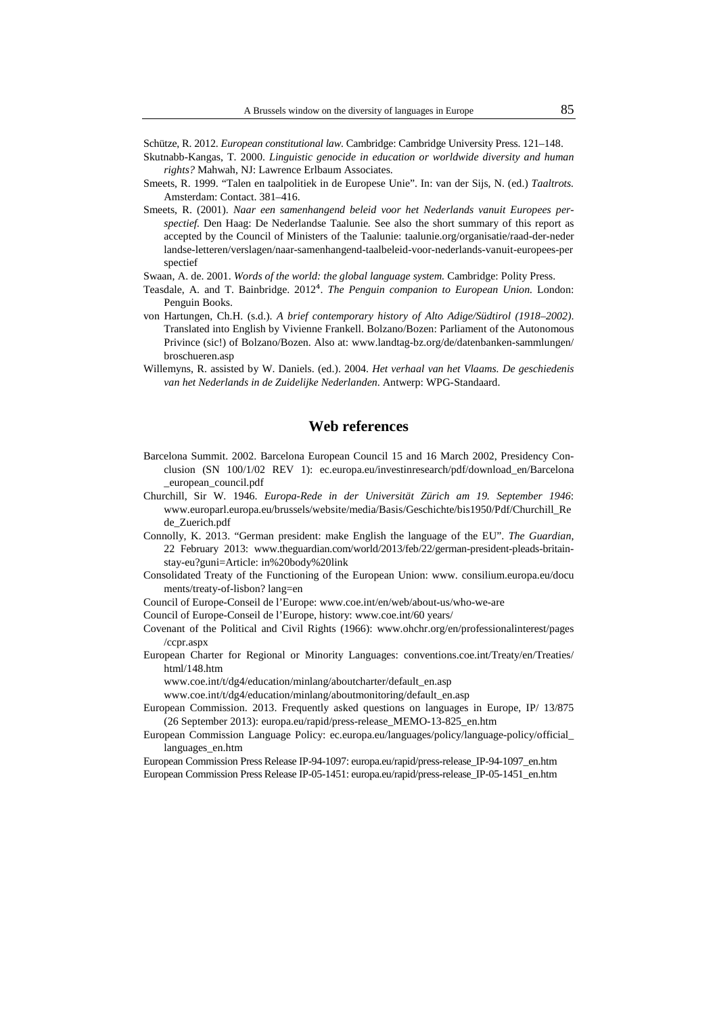Schütze, R. 2012. *European constitutional law.* Cambridge: Cambridge University Press. 121–148.

- Skutnabb-Kangas, T. 2000. *Linguistic genocide in education or worldwide diversity and human rights?* Mahwah, NJ: Lawrence Erlbaum Associates.
- Smeets, R. 1999. "Talen en taalpolitiek in de Europese Unie". In: van der Sijs, N. (ed.) *Taaltrots.*  Amsterdam: Contact. 381–416.
- Smeets, R. (2001). *Naar een samenhangend beleid voor het Nederlands vanuit Europees perspectief.* Den Haag: De Nederlandse Taalunie*.* See also the short summary of this report as accepted by the Council of Ministers of the Taalunie: taalunie.org/organisatie/raad-der-neder landse-letteren/verslagen/naar-samenhangend-taalbeleid-voor-nederlands-vanuit-europees-per spectief
- Swaan, A. de. 2001. *Words of the world: the global language system.* Cambridge: Polity Press.
- Teasdale, A. and T. Bainbridge. 2012<sup>4</sup>. *The Penguin companion to European Union*. London: Penguin Books.
- von Hartungen, Ch.H. (s.d.). *A brief contemporary history of Alto Adige/Südtirol (1918–2002)*. Translated into English by Vivienne Frankell. Bolzano/Bozen: Parliament of the Autonomous Privince (sic!) of Bolzano/Bozen. Also at: www.landtag-bz.org/de/datenbanken-sammlungen/ broschueren.asp
- Willemyns, R. assisted by W. Daniels. (ed.). 2004. *Het verhaal van het Vlaams. De geschiedenis van het Nederlands in de Zuidelijke Nederlanden*. Antwerp: WPG-Standaard.

## **Web references**

- Barcelona Summit. 2002. Barcelona European Council 15 and 16 March 2002, Presidency Conclusion (SN 100/1/02 REV 1): ec.europa.eu/investinresearch/pdf/download\_en/Barcelona \_european\_council.pdf
- Churchill, Sir W. 1946. *Europa-Rede in der Universität Zürich am 19. September 1946*: www.europarl.europa.eu/brussels/website/media/Basis/Geschichte/bis1950/Pdf/Churchill\_Re de\_Zuerich.pdf
- Connolly, K. 2013. "German president: make English the language of the EU". *The Guardian*, 22 February 2013: www.theguardian.com/world/2013/feb/22/german-president-pleads-britainstay-eu?guni=Article: in%20body%20link
- Consolidated Treaty of the Functioning of the European Union: www. consilium.europa.eu/docu ments/treaty-of-lisbon? lang=en

Council of Europe-Conseil de l'Europe: www.coe.int/en/web/about-us/who-we-are

Council of Europe-Conseil de l'Europe, history: www.coe.int/60 years/

- Covenant of the Political and Civil Rights (1966): www.ohchr.org/en/professionalinterest/pages /ccpr.aspx
- European Charter for Regional or Minority Languages: conventions.coe.int/Treaty/en/Treaties/ html/148.htm

www.coe.int/t/dg4/education/minlang/aboutcharter/default\_en.asp

www.coe.int/t/dg4/education/minlang/aboutmonitoring/default\_en.asp

- European Commission. 2013. Frequently asked questions on languages in Europe, IP/ 13/875 (26 September 2013): europa.eu/rapid/press-release\_MEMO-13-825\_en.htm
- European Commission Language Policy: ec.europa.eu/languages/policy/language-policy/official\_ languages\_en.htm
- European Commission Press Release IP-94-1097: europa.eu/rapid/press-release\_IP-94-1097\_en.htm
- European Commission Press Release IP-05-1451: europa.eu/rapid/press-release\_IP-05-1451\_en.htm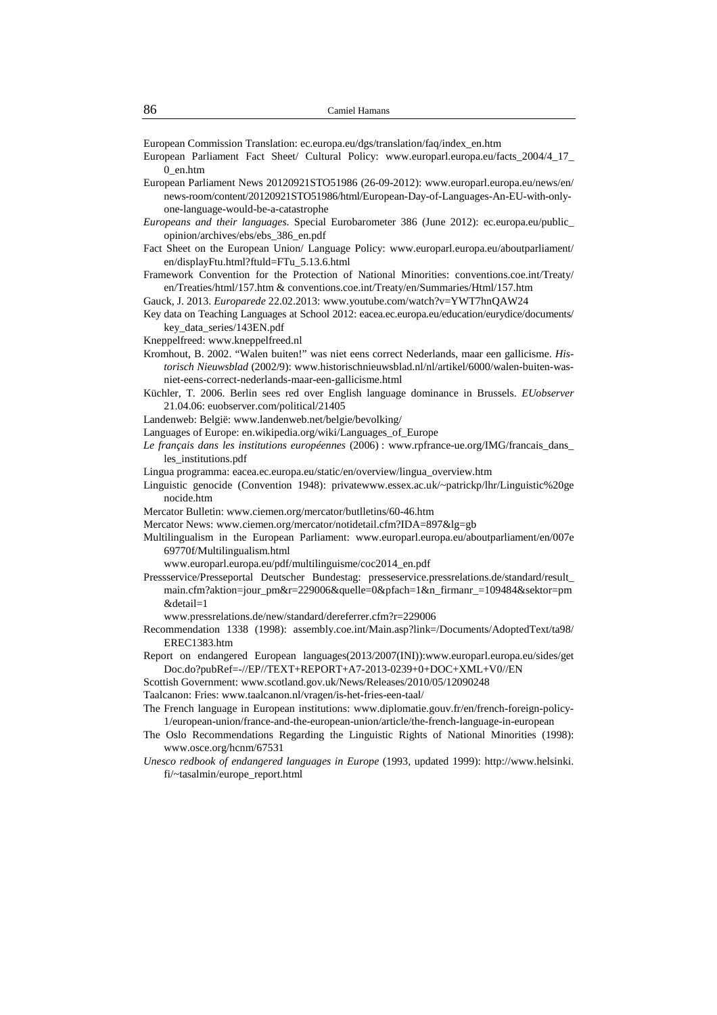European Commission Translation: ec.europa.eu/dgs/translation/faq/index\_en.htm

- European Parliament Fact Sheet/ Cultural Policy: www.europarl.europa.eu/facts\_2004/4\_17\_ 0\_en.htm
- European Parliament News 20120921STO51986 (26-09-2012): www.europarl.europa.eu/news/en/ news-room/content/20120921STO51986/html/European-Day-of-Languages-An-EU-with-onlyone-language-would-be-a-catastrophe
- *Europeans and their languages*. Special Eurobarometer 386 (June 2012): ec.europa.eu/public\_ opinion/archives/ebs/ebs\_386\_en.pdf
- Fact Sheet on the European Union/ Language Policy: www.europarl.europa.eu/aboutparliament/ en/displayFtu.html?ftuld=FTu\_5.13.6.html
- Framework Convention for the Protection of National Minorities: conventions.coe.int/Treaty/ en/Treaties/html/157.htm & conventions.coe.int/Treaty/en/Summaries/Html/157.htm
- Gauck, J. 2013. *Europarede* 22.02.2013: www.youtube.com/watch?v=YWT7hnQAW24
- Key data on Teaching Languages at School 2012: eacea.ec.europa.eu/education/eurydice/documents/ key\_data\_series/143EN.pdf
- Kneppelfreed: www.kneppelfreed.nl
- Kromhout, B. 2002. "Walen buiten!" was niet eens correct Nederlands, maar een gallicisme. *Historisch Nieuwsblad* (2002/9): www.historischnieuwsblad.nl/nl/artikel/6000/walen-buiten-wasniet-eens-correct-nederlands-maar-een-gallicisme.html
- Küchler, T. 2006. Berlin sees red over English language dominance in Brussels. *EUobserver*  21.04.06: euobserver.com/political/21405
- Landenweb: België: www.landenweb.net/belgie/bevolking/
- Languages of Europe: en.wikipedia.org/wiki/Languages\_of\_Europe
- *Le français dans les institutions européennes* (2006) : www.rpfrance-ue.org/IMG/francais\_dans\_ les\_institutions.pdf
- Lingua programma: eacea.ec.europa.eu/static/en/overview/lingua\_overview.htm
- Linguistic genocide (Convention 1948): privatewww.essex.ac.uk/~patrickp/lhr/Linguistic%20ge nocide.htm
- Mercator Bulletin: www.ciemen.org/mercator/butlletins/60-46.htm
- Mercator News: www.ciemen.org/mercator/notidetail.cfm?IDA=897&lg=gb
- Multilingualism in the European Parliament: www.europarl.europa.eu/aboutparliament/en/007e 69770f/Multilingualism.html
	- www.europarl.europa.eu/pdf/multilinguisme/coc2014\_en.pdf
- Pressservice/Presseportal Deutscher Bundestag: presseservice.pressrelations.de/standard/result\_ main.cfm?aktion=jour\_pm&r=229006&quelle=0&pfach=1&n\_firmanr\_=109484&sektor=pm &detail=1
- www.pressrelations.de/new/standard/dereferrer.cfm?r=229006
- Recommendation 1338 (1998): assembly.coe.int/Main.asp?link=/Documents/AdoptedText/ta98/ EREC1383.htm
- Report on endangered European languages(2013/2007(INI)):www.europarl.europa.eu/sides/get Doc.do?pubRef=-//EP//TEXT+REPORT+A7-2013-0239+0+DOC+XML+V0//EN
- Scottish Government: www.scotland.gov.uk/News/Releases/2010/05/12090248
- Taalcanon: Fries: www.taalcanon.nl/vragen/is-het-fries-een-taal/
- The French language in European institutions: www.diplomatie.gouv.fr/en/french-foreign-policy-1/european-union/france-and-the-european-union/article/the-french-language-in-european
- The Oslo Recommendations Regarding the Linguistic Rights of National Minorities (1998): www.osce.org/hcnm/67531
- *Unesco redbook of endangered languages in Europe* (1993, updated 1999): http://www.helsinki. fi/~tasalmin/europe\_report.html